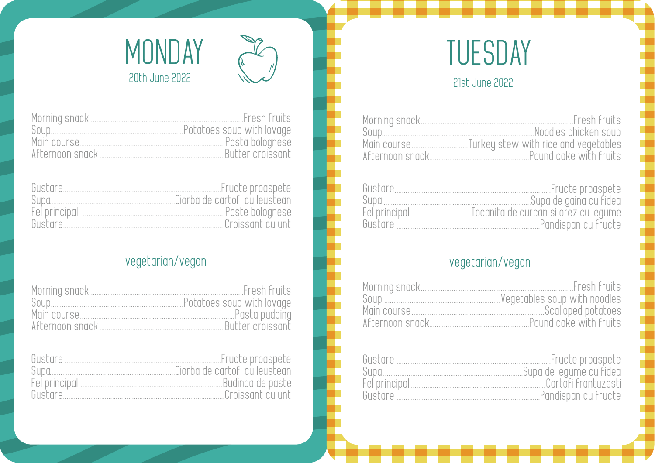

#### 21st June 2022

| Fresh Fruits                                     |
|--------------------------------------------------|
| Moodles chicken soup                             |
| Main course Turkey stew with rice and vegetables |
| Pound cake with fruits                           |

| Gustare | Fructe progspete       |
|---------|------------------------|
| Suna    | Supa de gaina cu fideo |
|         |                        |
| Gustare | Pandispan cu fructe    |
|         |                        |

### vegetarian/vegan

| Fresh Fruits                 |
|------------------------------|
| Vegetables soup with noodles |
| Scalloped potatoes           |
| Pound cake with fruits       |

| Gustare | Fructe progspete        |
|---------|-------------------------|
| Sunn    | Supa de legyme cu fidea |
|         | Cartori frantuzesti     |
| Gustare | Pandispan cu fructe     |



|                  | Fresh fruits               |
|------------------|----------------------------|
| Soun             | Potatoes soup with lovage. |
| Main course      | Pasta bolognese            |
| Afternoon snack. | Butter croissant           |

| Gustare       |                               |
|---------------|-------------------------------|
| Sunn          | Ciorba de cartofi cu leustean |
| Fel principal | Paste bolognese               |
| Gustare       | Croissant cu unt              |

## vegetarian/vegan

|      | Fresh fruits     |
|------|------------------|
| Soun |                  |
|      |                  |
|      | Butter croissant |

| Gustare                           | Fructe progspete                |
|-----------------------------------|---------------------------------|
| Sung                              | . Ciorba de cartofi cu leustean |
| Fel principal <b>Example 2018</b> | Budinca de paste                |
| Gustare                           | Croissant cu unt                |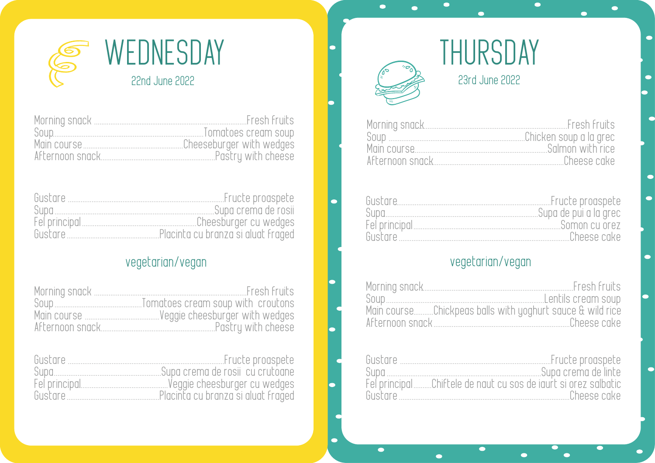

|                 | Fresh fruits              |
|-----------------|---------------------------|
| Soup            | Tomatoes cream soup       |
|                 | …Cheeseburger with wedges |
| Afternoon snack | Pastry with cheese        |

| Gustare | Fructe progspete                   |
|---------|------------------------------------|
| Sunn    | Supa crema de rosii                |
|         | Cheesburger cu wedges              |
| Gustare | Placinta cu branza și aluat fraged |

## vegetarian/vegan

| Morning snack   | Fresh fruits       |
|-----------------|--------------------|
|                 |                    |
|                 |                    |
| Afternoon snack | Pastru with cheese |

| Gustare | Fructe progspete                   |
|---------|------------------------------------|
| Sung    | .Supa crema de rosii-cu crutoane   |
|         | Veggie cheesburger cu wedges.      |
| Gustare | Placinta cu branza și aluat fraged |

# THURSDAY 23rd June 2022

 $\bullet$ 

 $\blacksquare$ 

 $\blacksquare$ 

 $\bullet$ 

| "Chicken soup a la grec |
|-------------------------|
|                         |
|                         |

 $\bullet$ 

C

 $\bullet$ 

п

 $\blacksquare$ 

 $\bullet$ 

| Gustare | Fructe progspete      |
|---------|-----------------------|
| Sunn    | Supa de pui a la arec |
|         | Somon cu orez         |
| Gustare | - Cheese cake         |
|         |                       |

### vegetarian/vegan

| Soun                                                      |             |
|-----------------------------------------------------------|-------------|
| Main courseChickpeas balls with yoghurt sauce & wild rice |             |
|                                                           | Cheese cake |

| Gustare                                                         | Fructe proaspete    |
|-----------------------------------------------------------------|---------------------|
| Sunn                                                            | Supo cremo de linte |
| Fel principal Chiftele de naut cu sos de jaurt si orez salbatic |                     |
| Gustare                                                         | Cheese cake         |

 $\bullet$ 

 $\bullet$ 

 $\bullet$